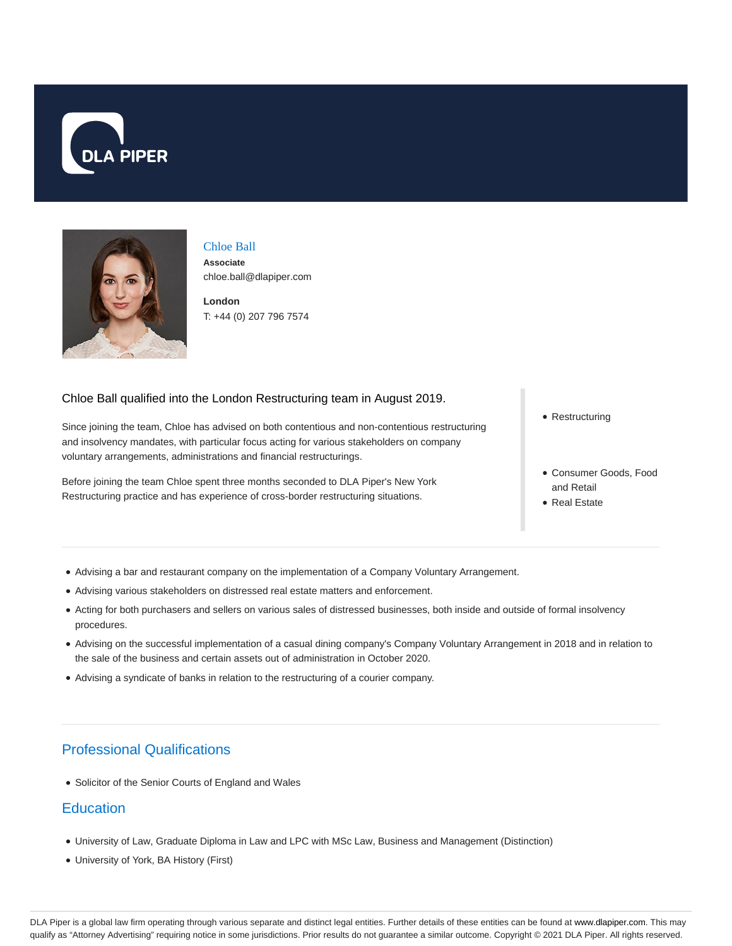



#### Chloe Ball

**Associate** chloe.ball@dlapiper.com

**London** T: +44 (0) 207 796 7574

#### Chloe Ball qualified into the London Restructuring team in August 2019.

Since joining the team, Chloe has advised on both contentious and non-contentious restructuring and insolvency mandates, with particular focus acting for various stakeholders on company voluntary arrangements, administrations and financial restructurings.

Before joining the team Chloe spent three months seconded to DLA Piper's New York Restructuring practice and has experience of cross-border restructuring situations.

• Restructuring

- Consumer Goods, Food and Retail
- Real Estate
- Advising a bar and restaurant company on the implementation of a Company Voluntary Arrangement.
- Advising various stakeholders on distressed real estate matters and enforcement.
- Acting for both purchasers and sellers on various sales of distressed businesses, both inside and outside of formal insolvency procedures.
- Advising on the successful implementation of a casual dining company's Company Voluntary Arrangement in 2018 and in relation to the sale of the business and certain assets out of administration in October 2020.
- Advising a syndicate of banks in relation to the restructuring of a courier company.

# Professional Qualifications

Solicitor of the Senior Courts of England and Wales

### **Education**

- University of Law, Graduate Diploma in Law and LPC with MSc Law, Business and Management (Distinction)
- University of York, BA History (First)

DLA Piper is a global law firm operating through various separate and distinct legal entities. Further details of these entities can be found at www.dlapiper.com. This may qualify as "Attorney Advertising" requiring notice in some jurisdictions. Prior results do not guarantee a similar outcome. Copyright @ 2021 DLA Piper. All rights reserved.